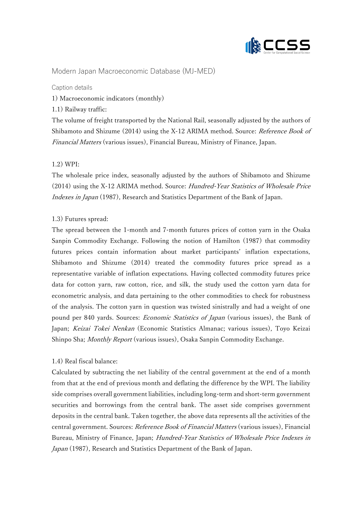

# Modern Japan Macroeconomic Database (MJ-MED)

Caption details

1) Macroeconomic indicators (monthly)

1.1) Railway traffic:

The volume of freight transported by the National Rail, seasonally adjusted by the authors of Shibamoto and Shizume (2014) using the X-12 ARIMA method. Source: *Reference Book of* Financial Matters (various issues), Financial Bureau, Ministry of Finance, Japan.

# $1.2) WPI:$

The wholesale price index, seasonally adjusted by the authors of Shibamoto and Shizume (2014) using the X-12 ARIMA method. Source: Hundred-Year Statistics of Wholesale Price Indexes in Japan (1987), Research and Statistics Department of the Bank of Japan.

# 1.3) Futures spread:

The spread between the 1-month and 7-month futures prices of cotton yarn in the Osaka Sanpin Commodity Exchange. Following the notion of Hamilton (1987) that commodity futures prices contain information about market participants' inflation expectations, Shibamoto and Shizume (2014) treated the commodity futures price spread as a representative variable of inflation expectations. Having collected commodity futures price data for cotton yarn, raw cotton, rice, and silk, the study used the cotton yarn data for econometric analysis, and data pertaining to the other commodities to check for robustness of the analysis. The cotton yarn in question was twisted sinistrally and had a weight of one pound per 840 yards. Sources: Economic Statistics of Japan (various issues), the Bank of Japan; Keizai Tokei Nenkan (Economic Statistics Almanac; various issues), Toyo Keizai Shinpo Sha; *Monthly Report* (various issues), Osaka Sanpin Commodity Exchange.

# 1.4) Real fiscal balance:

Calculated by subtracting the net liability of the central government at the end of a month from that at the end of previous month and deflating the difference by the WPI. The liability side comprises overall government liabilities, including long-term and short-term government securities and borrowings from the central bank. The asset side comprises government deposits in the central bank. Taken together, the above data represents all the activities of the central government. Sources: Reference Book of Financial Matters (various issues), Financial Bureau, Ministry of Finance, Japan; Hundred-Year Statistics of Wholesale Price Indexes in Japan (1987), Research and Statistics Department of the Bank of Japan.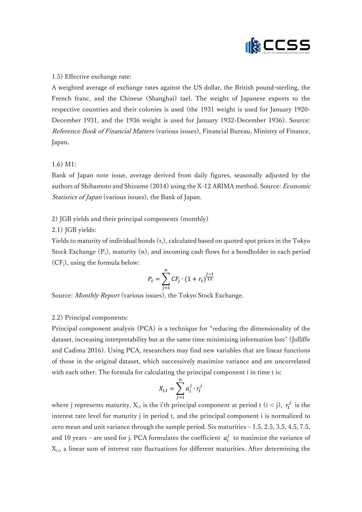

#### 1.5) Effective exchange rate:

A weighted average of exchange rates against the US dollar, the British pound-sterling, the French franc, and the Chinese (Shanghai) tael. The weight of Japanese exports to the respective countries and their colonies is used (the 1931 weight is used for January 1920- December 1931, and the 1936 weight is used for January 1932-December 1936). Source: Reference Book of Financial Matters (various issues), Financial Bureau, Ministry of Finance, Japan.

# 1.6) M1:

Bank of Japan note issue, average derived from daily figures, seasonally adjusted by the authors of Shibamoto and Shizume (2014) using the X-12 ARIMA method. Source: Economic *Statistics of Japan* (various issues), the Bank of Japan.

# 2) JGB yields and their principal components (monthly)

# 2.1) JGB yields:

Yields to maturity of individual bonds  $(r_t)$ , calculated based on quoted spot prices in the Tokyo Stock Exchange  $(P_t)$ , maturity  $(n)$ , and incoming cash flows for a bondholder in each period  $(CF_i)$ , using the formula below:

$$
P_t = \sum_{j=t}^{n} CF_j \cdot (1 + r_t)^{\frac{j-t}{12}}
$$

Source: Monthly Report (various issues), the Tokyo Stock Exchange.

# 2.2) Principal components:

Principal component analysis (PCA) is a technique for "reducing the dimensionality of the dataset, increasing interpretability but at the same time minimizing information loss" (Jolliffe and Cadima 2016). Using PCA, researchers may find new variables that are linear functions of those in the original dataset, which successively maximize variance and are uncorrelated with each other. The formula for calculating the principal component i in time t is:

$$
X_{i,t} = \sum_{j=1}^{n} a_i^j \cdot r_t^j
$$

where j represents maturity,  $X_{i,t}$  is the i'th principal component at period t (i < j),  $r_t^j$  is the interest rate level for maturity j in period t, and the principal component i is normalized to zero mean and unit variance through the sample period. Six maturities – 1.5, 2.5, 3.5, 4.5, 7.5, and 10 years – are used for j. PCA formulates the coefficient  $a_i^j$  to maximize the variance of Xi,t, a linear sum of interest rate fluctuations for different maturities. After determining the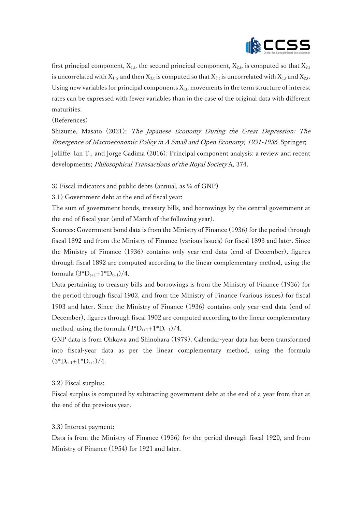

first principal component,  $X_{1,t}$ , the second principal component,  $X_{2,t}$ , is computed so that  $X_{2,t}$ is uncorrelated with  $X_{1,t}$ , and then  $X_{3,t}$  is computed so that  $X_{3,t}$  is uncorrelated with  $X_{1,t}$  and  $X_{2,t}$ . Using new variables for principal components  $X_{i,t}$ , movements in the term structure of interest rates can be expressed with fewer variables than in the case of the original data with different maturities.

(References)

Shizume, Masato (2021); The Japanese Economy During the Great Depression: The Emergence of Macroeconomic Policy in A Small and Open Economy, 1931-1936, Springer; Jolliffe, Ian T., and Jorge Cadima (2016); Principal component analysis: a review and recent developments; *Philosophical Transactions of the Royal Society* A, 374.

3) Fiscal indicators and public debts (annual, as % of GNP)

3.1) Government debt at the end of fiscal year:

The sum of government bonds, treasury bills, and borrowings by the central government at the end of fiscal year (end of March of the following year).

Sources: Government bond data is from the Ministry of Finance (1936) for the period through fiscal 1892 and from the Ministry of Finance (various issues) for fiscal 1893 and later. Since the Ministry of Finance (1936) contains only year-end data (end of December), figures through fiscal 1892 are computed according to the linear complementary method, using the formula  $(3^*D_{t+1}+1^*D_{t+1})/4$ .

Data pertaining to treasury bills and borrowings is from the Ministry of Finance (1936) for the period through fiscal 1902, and from the Ministry of Finance (various issues) for fiscal 1903 and later. Since the Ministry of Finance (1936) contains only year-end data (end of December), figures through fiscal 1902 are computed according to the linear complementary method, using the formula  $(3*D_{t+1}+1*D_{t+1})/4$ .

GNP data is from Ohkawa and Shinohara (1979). Calendar-year data has been transformed into fiscal-year data as per the linear complementary method, using the formula  $(3^*D_{t+1}+1^*D_{t+1})/4$ .

#### 3.2) Fiscal surplus:

Fiscal surplus is computed by subtracting government debt at the end of a year from that at the end of the previous year.

#### 3.3) Interest payment:

Data is from the Ministry of Finance (1936) for the period through fiscal 1920, and from Ministry of Finance (1954) for 1921 and later.